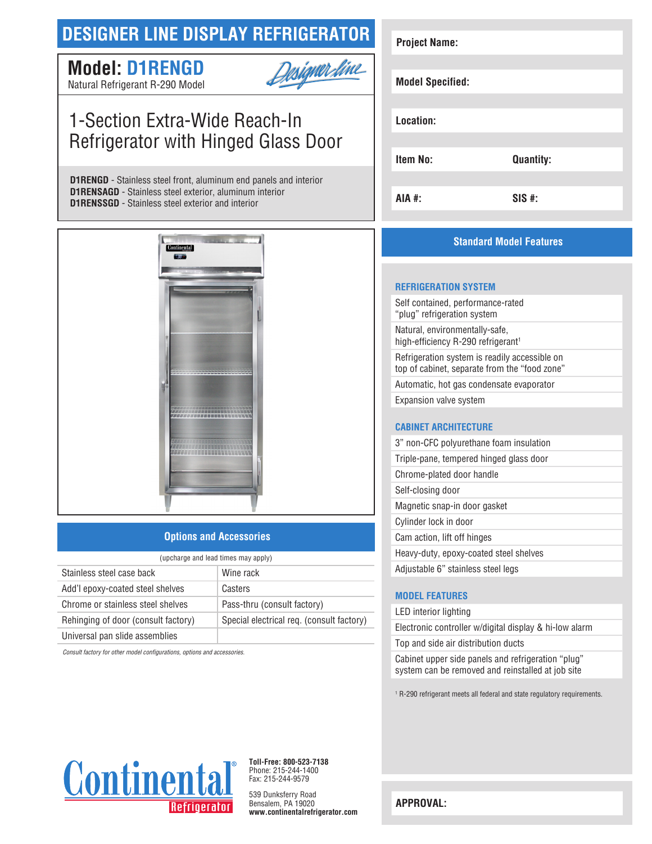## **DESIGNER LINE DISPLAY REFRIGERATOR**

## **Model: D1RENGD**



Natural Refrigerant R-290 Model

## 1-Section Extra-Wide Reach-In Refrigerator with Hinged Glass Door

**D1RENGD** - Stainless steel front, aluminum end panels and interior **D1RENSAGD** - Stainless steel exterior, aluminum interior **D1RENSSGD** - Stainless steel exterior and interior



#### **Options and Accessories**

| (upcharge and lead times may apply) |                                           |  |
|-------------------------------------|-------------------------------------------|--|
| Stainless steel case back           | Wine rack                                 |  |
| Add'l epoxy-coated steel shelves    | Casters                                   |  |
| Chrome or stainless steel shelves   | Pass-thru (consult factory)               |  |
| Rehinging of door (consult factory) | Special electrical req. (consult factory) |  |
| Universal pan slide assemblies      |                                           |  |

*Consult factory for other model configurations, options and accessories.*

# **Project Name: Model Specified: Location: Item No: Quantity: AIA #: SIS #:**

### **Standard Model Features**

#### **REFRIGERATION SYSTEM**

Self contained, performance-rated "plug" refrigeration system Natural, environmentally-safe, high-efficiency R-290 refrigerant<sup>1</sup> Refrigeration system is readily accessible on top of cabinet, separate from the "food zone" Automatic, hot gas condensate evaporator Expansion valve system

#### **CABINET ARCHITECTURE**

| 3" non-CFC polyurethane foam insulation |
|-----------------------------------------|
| Triple-pane, tempered hinged glass door |
| Chrome-plated door handle               |
| Self-closing door                       |
| Magnetic snap-in door gasket            |
| Cylinder lock in door                   |
| Cam action, lift off hinges             |
| Heavy-duty, epoxy-coated steel shelves  |
| Adjustable 6" stainless steel legs      |

#### **MODEL FEATURES**

LED interior lighting

Electronic controller w/digital display & hi-low alarm Top and side air distribution ducts

Cabinet upper side panels and refrigeration "plug" system can be removed and reinstalled at job site

1 R-290 refrigerant meets all federal and state regulatory requirements.



**Toll-Free: 800-523-7138** Phone: 215-244-1400 Fax: 215-244-9579

539 Dunksferry Road Bensalem, PA 19020 **www.continentalrefrigerator.com** 

**APPROVAL:**